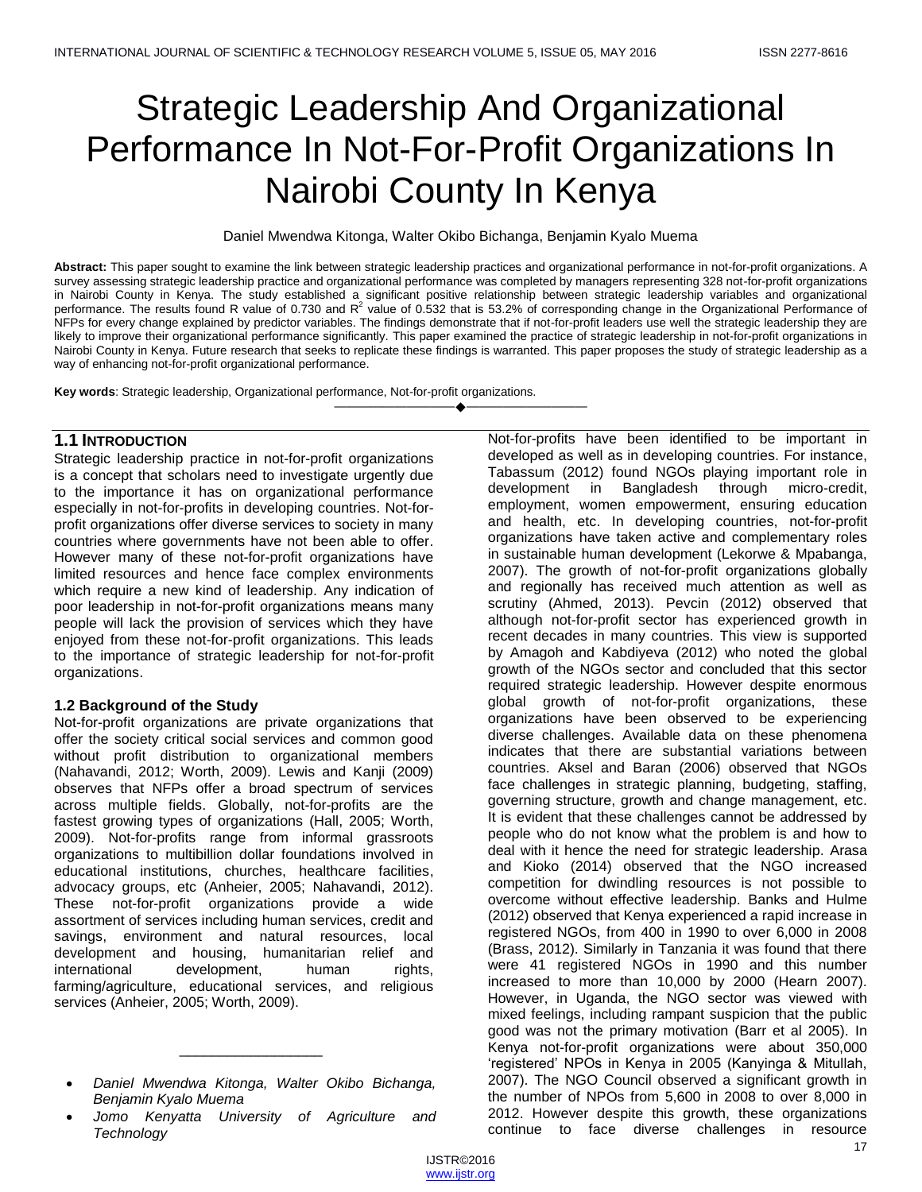# Strategic Leadership And Organizational Performance In Not-For-Profit Organizations In Nairobi County In Kenya

Daniel Mwendwa Kitonga, Walter Okibo Bichanga, Benjamin Kyalo Muema

**Abstract:** This paper sought to examine the link between strategic leadership practices and organizational performance in not-for-profit organizations. A survey assessing strategic leadership practice and organizational performance was completed by managers representing 328 not-for-profit organizations in Nairobi County in Kenya. The study established a significant positive relationship between strategic leadership variables and organizational performance. The results found R value of 0.730 and R<sup>2</sup> value of 0.532 that is 53.2% of corresponding change in the Organizational Performance of NFPs for every change explained by predictor variables. The findings demonstrate that if not-for-profit leaders use well the strategic leadership they are likely to improve their organizational performance significantly. This paper examined the practice of strategic leadership in not-for-profit organizations in Nairobi County in Kenya. Future research that seeks to replicate these findings is warranted. This paper proposes the study of strategic leadership as a way of enhancing not-for-profit organizational performance.

————————————————————

**Key words**: Strategic leadership, Organizational performance, Not-for-profit organizations.

# **1.1 INTRODUCTION**

Strategic leadership practice in not-for-profit organizations is a concept that scholars need to investigate urgently due to the importance it has on organizational performance especially in not-for-profits in developing countries. Not-forprofit organizations offer diverse services to society in many countries where governments have not been able to offer. However many of these not-for-profit organizations have limited resources and hence face complex environments which require a new kind of leadership. Any indication of poor leadership in not-for-profit organizations means many people will lack the provision of services which they have enjoyed from these not-for-profit organizations. This leads to the importance of strategic leadership for not-for-profit organizations.

# **1.2 Background of the Study**

Not-for-profit organizations are private organizations that offer the society critical social services and common good without profit distribution to organizational members (Nahavandi, 2012; Worth, 2009). Lewis and Kanji (2009) observes that NFPs offer a broad spectrum of services across multiple fields. Globally, not-for-profits are the fastest growing types of organizations (Hall, 2005; Worth, 2009). Not-for-profits range from informal grassroots organizations to multibillion dollar foundations involved in educational institutions, churches, healthcare facilities, advocacy groups, etc (Anheier, 2005; Nahavandi, 2012). These not-for-profit organizations provide a wide assortment of services including human services, credit and savings, environment and natural resources, local development and housing, humanitarian relief and international development, human rights, farming/agriculture, educational services, and religious services (Anheier, 2005; Worth, 2009).

\_\_\_\_\_\_\_\_\_\_\_\_\_\_\_\_\_\_

Not-for-profits have been identified to be important in developed as well as in developing countries. For instance, Tabassum (2012) found NGOs playing important role in development in Bangladesh through micro-credit, employment, women empowerment, ensuring education and health, etc. In developing countries, not-for-profit organizations have taken active and complementary roles in sustainable human development (Lekorwe & Mpabanga, 2007). The growth of not-for-profit organizations globally and regionally has received much attention as well as scrutiny (Ahmed, 2013). Pevcin (2012) observed that although not-for-profit sector has experienced growth in recent decades in many countries. This view is supported by Amagoh and Kabdiyeva (2012) who noted the global growth of the NGOs sector and concluded that this sector required strategic leadership. However despite enormous global growth of not-for-profit organizations, these organizations have been observed to be experiencing diverse challenges. Available data on these phenomena indicates that there are substantial variations between countries. Aksel and Baran (2006) observed that NGOs face challenges in strategic planning, budgeting, staffing, governing structure, growth and change management, etc. It is evident that these challenges cannot be addressed by people who do not know what the problem is and how to deal with it hence the need for strategic leadership. Arasa and Kioko (2014) observed that the NGO increased competition for dwindling resources is not possible to overcome without effective leadership. Banks and Hulme (2012) observed that Kenya experienced a rapid increase in registered NGOs, from 400 in 1990 to over 6,000 in 2008 (Brass, 2012). Similarly in Tanzania it was found that there were 41 registered NGOs in 1990 and this number increased to more than 10,000 by 2000 (Hearn 2007). However, in Uganda, the NGO sector was viewed with mixed feelings, including rampant suspicion that the public good was not the primary motivation (Barr et al 2005). In Kenya not-for-profit organizations were about 350,000 ‗registered' NPOs in Kenya in 2005 (Kanyinga & Mitullah, 2007). The NGO Council observed a significant growth in the number of NPOs from 5,600 in 2008 to over 8,000 in 2012. However despite this growth, these organizations continue to face diverse challenges in resource

*Daniel Mwendwa Kitonga, Walter Okibo Bichanga, Benjamin Kyalo Muema*

*Jomo Kenyatta University of Agriculture and Technology*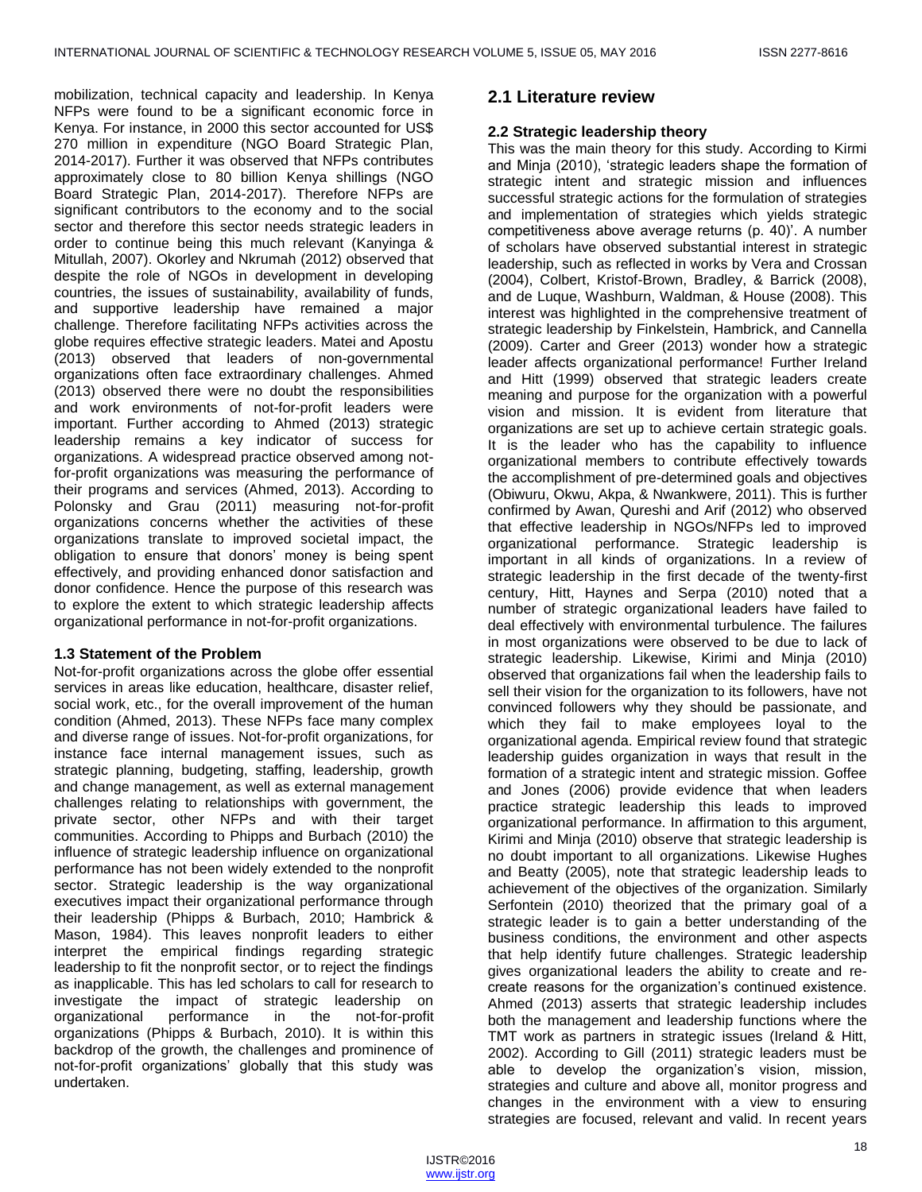mobilization, technical capacity and leadership. In Kenya NFPs were found to be a significant economic force in Kenya. For instance, in 2000 this sector accounted for US\$ 270 million in expenditure (NGO Board Strategic Plan, 2014-2017). Further it was observed that NFPs contributes approximately close to 80 billion Kenya shillings (NGO Board Strategic Plan, 2014-2017). Therefore NFPs are significant contributors to the economy and to the social sector and therefore this sector needs strategic leaders in order to continue being this much relevant (Kanyinga & Mitullah, 2007). Okorley and Nkrumah (2012) observed that despite the role of NGOs in development in developing countries, the issues of sustainability, availability of funds, and supportive leadership have remained a major challenge. Therefore facilitating NFPs activities across the globe requires effective strategic leaders. Matei and Apostu (2013) observed that leaders of non-governmental organizations often face extraordinary challenges. Ahmed (2013) observed there were no doubt the responsibilities and work environments of not-for-profit leaders were important. Further according to Ahmed (2013) strategic leadership remains a key indicator of success for organizations. A widespread practice observed among notfor-profit organizations was measuring the performance of their programs and services (Ahmed, 2013). According to Polonsky and Grau (2011) measuring not-for-profit organizations concerns whether the activities of these organizations translate to improved societal impact, the obligation to ensure that donors' money is being spent effectively, and providing enhanced donor satisfaction and donor confidence. Hence the purpose of this research was to explore the extent to which strategic leadership affects organizational performance in not-for-profit organizations.

# **1.3 Statement of the Problem**

Not-for-profit organizations across the globe offer essential services in areas like education, healthcare, disaster relief, social work, etc., for the overall improvement of the human condition (Ahmed, 2013). These NFPs face many complex and diverse range of issues. Not-for-profit organizations, for instance face internal management issues, such as strategic planning, budgeting, staffing, leadership, growth and change management, as well as external management challenges relating to relationships with government, the private sector, other NFPs and with their target communities. According to Phipps and Burbach (2010) the influence of strategic leadership influence on organizational performance has not been widely extended to the nonprofit sector. Strategic leadership is the way organizational executives impact their organizational performance through their leadership (Phipps & Burbach, 2010; Hambrick & Mason, 1984). This leaves nonprofit leaders to either interpret the empirical findings regarding strategic leadership to fit the nonprofit sector, or to reject the findings as inapplicable. This has led scholars to call for research to investigate the impact of strategic leadership on organizational performance in the not-for-profit organizations (Phipps & Burbach, 2010). It is within this backdrop of the growth, the challenges and prominence of not-for-profit organizations' globally that this study was undertaken.

# **2.1 Literature review**

# **2.2 Strategic leadership theory**

This was the main theory for this study. According to Kirmi and Minja (2010), 'strategic leaders shape the formation of strategic intent and strategic mission and influences successful strategic actions for the formulation of strategies and implementation of strategies which yields strategic competitiveness above average returns (p. 40)'. A number of scholars have observed substantial interest in strategic leadership, such as reflected in works by Vera and Crossan (2004), Colbert, Kristof-Brown, Bradley, & Barrick (2008), and de Luque, Washburn, Waldman, & House (2008). This interest was highlighted in the comprehensive treatment of strategic leadership by Finkelstein, Hambrick, and Cannella (2009). Carter and Greer (2013) wonder how a strategic leader affects organizational performance! Further Ireland and Hitt (1999) observed that strategic leaders create meaning and purpose for the organization with a powerful vision and mission. It is evident from literature that organizations are set up to achieve certain strategic goals. It is the leader who has the capability to influence organizational members to contribute effectively towards the accomplishment of pre-determined goals and objectives (Obiwuru, Okwu, Akpa, & Nwankwere, 2011). This is further confirmed by Awan, Qureshi and Arif (2012) who observed that effective leadership in NGOs/NFPs led to improved organizational performance. Strategic leadership is important in all kinds of organizations. In a review of strategic leadership in the first decade of the twenty-first century, Hitt, Haynes and Serpa (2010) noted that a number of strategic organizational leaders have failed to deal effectively with environmental turbulence. The failures in most organizations were observed to be due to lack of strategic leadership. Likewise, Kirimi and Minja (2010) observed that organizations fail when the leadership fails to sell their vision for the organization to its followers, have not convinced followers why they should be passionate, and which they fail to make employees loyal to the organizational agenda. Empirical review found that strategic leadership guides organization in ways that result in the formation of a strategic intent and strategic mission. Goffee and Jones (2006) provide evidence that when leaders practice strategic leadership this leads to improved organizational performance. In affirmation to this argument, Kirimi and Minja (2010) observe that strategic leadership is no doubt important to all organizations. Likewise Hughes and Beatty (2005), note that strategic leadership leads to achievement of the objectives of the organization. Similarly Serfontein (2010) theorized that the primary goal of a strategic leader is to gain a better understanding of the business conditions, the environment and other aspects that help identify future challenges. Strategic leadership gives organizational leaders the ability to create and recreate reasons for the organization's continued existence. Ahmed (2013) asserts that strategic leadership includes both the management and leadership functions where the TMT work as partners in strategic issues (Ireland & Hitt, 2002). According to Gill (2011) strategic leaders must be able to develop the organization's vision, mission, strategies and culture and above all, monitor progress and changes in the environment with a view to ensuring strategies are focused, relevant and valid. In recent years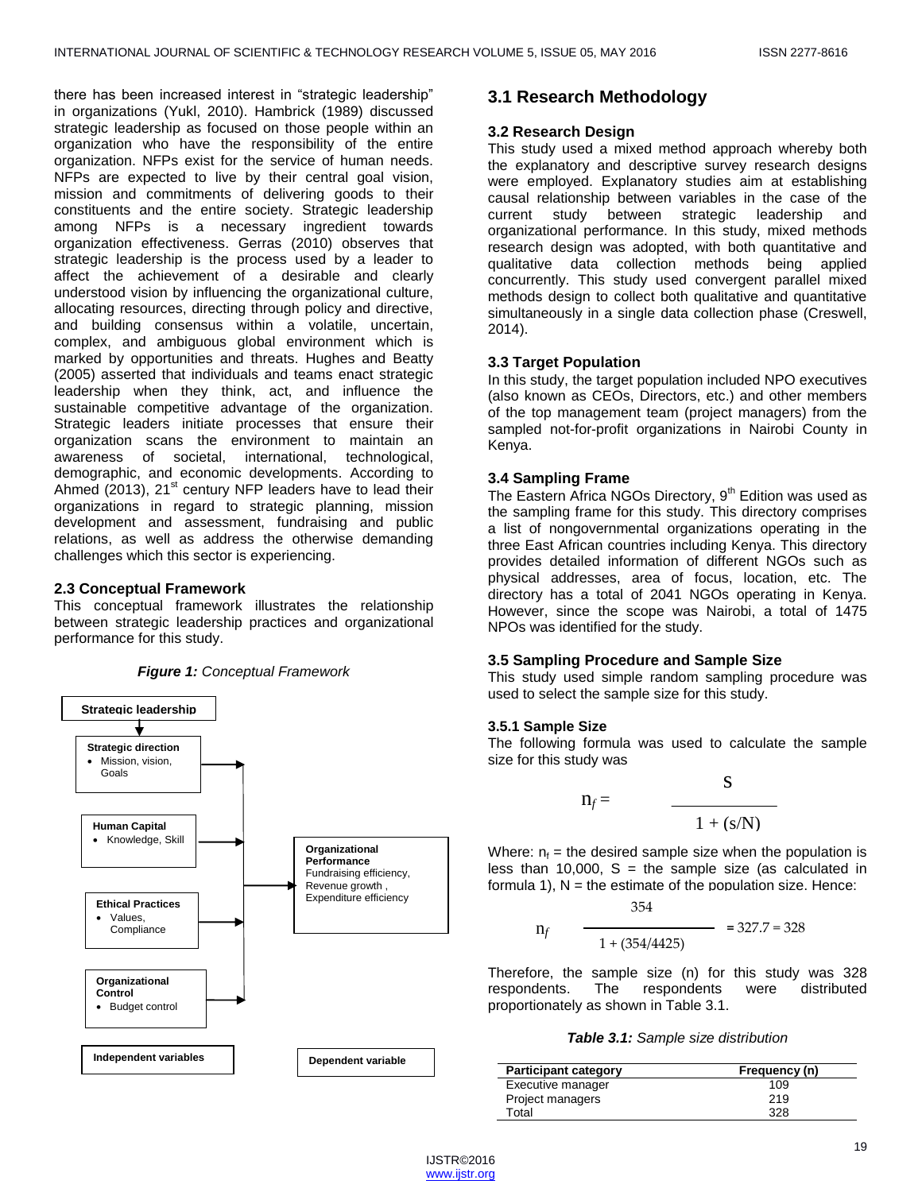there has been increased interest in "strategic leadership" in organizations (Yukl, 2010). Hambrick (1989) discussed strategic leadership as focused on those people within an organization who have the responsibility of the entire organization. NFPs exist for the service of human needs. NFPs are expected to live by their central goal vision, mission and commitments of delivering goods to their constituents and the entire society. Strategic leadership among NFPs is a necessary ingredient towards organization effectiveness. Gerras (2010) observes that strategic leadership is the process used by a leader to affect the achievement of a desirable and clearly understood vision by influencing the organizational culture, allocating resources, directing through policy and directive, and building consensus within a volatile, uncertain, complex, and ambiguous global environment which is marked by opportunities and threats. Hughes and Beatty (2005) asserted that individuals and teams enact strategic leadership when they think, act, and influence the sustainable competitive advantage of the organization. Strategic leaders initiate processes that ensure their organization scans the environment to maintain an awareness of societal, international, technological, demographic, and economic developments. According to Ahmed (2013),  $21^{st}$  century NFP leaders have to lead their organizations in regard to strategic planning, mission development and assessment, fundraising and public relations, as well as address the otherwise demanding challenges which this sector is experiencing.

# **2.3 Conceptual Framework**

This conceptual framework illustrates the relationship between strategic leadership practices and organizational performance for this study.



# **3.1 Research Methodology**

# **3.2 Research Design**

This study used a mixed method approach whereby both the explanatory and descriptive survey research designs were employed. Explanatory studies aim at establishing causal relationship between variables in the case of the current study between strategic leadership and organizational performance. In this study, mixed methods research design was adopted, with both quantitative and qualitative data collection methods being applied concurrently. This study used convergent parallel mixed methods design to collect both qualitative and quantitative simultaneously in a single data collection phase (Creswell, 2014).

# **3.3 Target Population**

In this study, the target population included NPO executives (also known as CEOs, Directors, etc.) and other members of the top management team (project managers) from the sampled not-for-profit organizations in Nairobi County in Kenya.

## **3.4 Sampling Frame**

The Eastern Africa NGOs Directory,  $9<sup>th</sup>$  Edition was used as the sampling frame for this study. This directory comprises a list of nongovernmental organizations operating in the three East African countries including Kenya. This directory provides detailed information of different NGOs such as physical addresses, area of focus, location, etc. The directory has a total of 2041 NGOs operating in Kenya. However, since the scope was Nairobi, a total of 1475 NPOs was identified for the study.

# **3.5 Sampling Procedure and Sample Size**

This study used simple random sampling procedure was used to select the sample size for this study.

## **3.5.1 Sample Size**

The following formula was used to calculate the sample size for this study was

$$
n_f = \frac{S}{1 + (s/N)}
$$

Where:  $n_f$  = the desired sample size when the population is less than 10,000,  $S =$  the sample size (as calculated in formula 1),  $N =$  the estimate of the population size. Hence:  $254$ 

$$
n_f \frac{334}{1 + (354/4425)} = 327.7 = 328
$$

Therefore, the sample size (n) for this study was 328 respondents. The respondents were distributed proportionately as shown in Table 3.1.

## *Table 3.1: Sample size distribution*

| <b>Participant category</b> | Frequency (n) |
|-----------------------------|---------------|
| Executive manager           | 109           |
| Project managers            | 219           |
| Total                       | 328           |

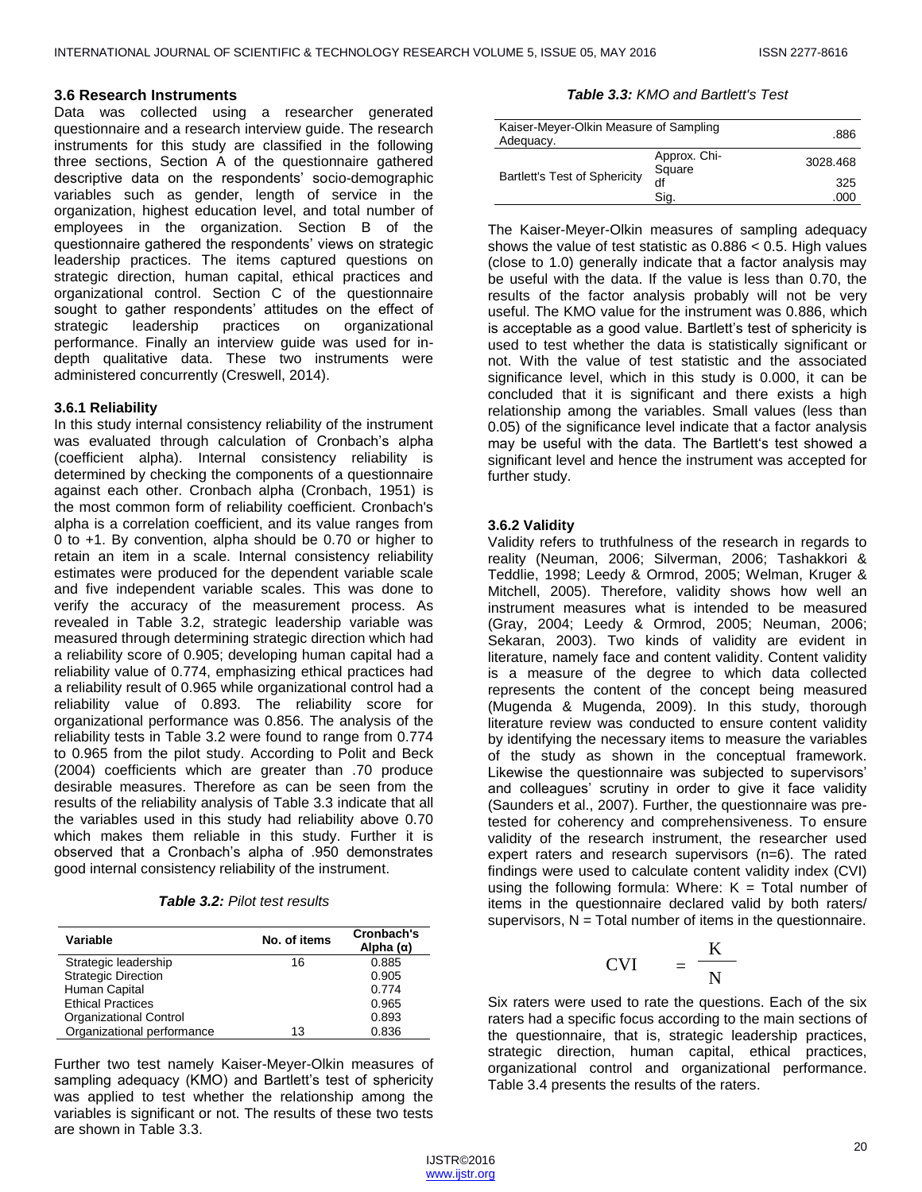## **3.6 Research Instruments**

Data was collected using a researcher generated questionnaire and a research interview guide. The research instruments for this study are classified in the following three sections, Section A of the questionnaire gathered descriptive data on the respondents' socio-demographic variables such as gender, length of service in the organization, highest education level, and total number of employees in the organization. Section B of the questionnaire gathered the respondents' views on strategic leadership practices. The items captured questions on strategic direction, human capital, ethical practices and organizational control. Section C of the questionnaire sought to gather respondents' attitudes on the effect of strategic leadership practices on organizational performance. Finally an interview guide was used for indepth qualitative data. These two instruments were administered concurrently (Creswell, 2014).

## **3.6.1 Reliability**

In this study internal consistency reliability of the instrument was evaluated through calculation of Cronbach's alpha (coefficient alpha). Internal consistency reliability is determined by checking the components of a questionnaire against each other. Cronbach alpha (Cronbach, 1951) is the most common form of reliability coefficient. Cronbach's alpha is a correlation coefficient, and its value ranges from 0 to +1. By convention, alpha should be 0.70 or higher to retain an item in a scale. Internal consistency reliability estimates were produced for the dependent variable scale and five independent variable scales. This was done to verify the accuracy of the measurement process. As revealed in Table 3.2, strategic leadership variable was measured through determining strategic direction which had a reliability score of 0.905; developing human capital had a reliability value of 0.774, emphasizing ethical practices had a reliability result of 0.965 while organizational control had a reliability value of 0.893. The reliability score for organizational performance was 0.856. The analysis of the reliability tests in Table 3.2 were found to range from 0.774 to 0.965 from the pilot study. According to Polit and Beck (2004) coefficients which are greater than .70 produce desirable measures. Therefore as can be seen from the results of the reliability analysis of Table 3.3 indicate that all the variables used in this study had reliability above 0.70 which makes them reliable in this study. Further it is observed that a Cronbach's alpha of .950 demonstrates good internal consistency reliability of the instrument.

| <b>Table 3.2: Pilot test results</b> |
|--------------------------------------|
|--------------------------------------|

| Variable                      | No. of items | Cronbach's<br>Alpha (α) |
|-------------------------------|--------------|-------------------------|
| Strategic leadership          | 16           | 0.885                   |
| <b>Strategic Direction</b>    |              | 0.905                   |
| Human Capital                 |              | 0.774                   |
| <b>Ethical Practices</b>      |              | 0.965                   |
| <b>Organizational Control</b> |              | 0.893                   |
| Organizational performance    | 13           | 0.836                   |

Further two test namely Kaiser-Meyer-Olkin measures of sampling adequacy (KMO) and Bartlett's test of sphericity was applied to test whether the relationship among the variables is significant or not. The results of these two tests are shown in Table 3.3.

*Table 3.3: KMO and Bartlett's Test*

| Kaiser-Meyer-Olkin Measure of Sampling<br>Adequacy. |                        | .886     |
|-----------------------------------------------------|------------------------|----------|
| <b>Bartlett's Test of Sphericity</b>                | Approx. Chi-<br>Square | 3028.468 |
|                                                     | df                     | 325      |
|                                                     | Sig.                   | .000     |

The Kaiser-Meyer-Olkin measures of sampling adequacy shows the value of test statistic as 0.886 < 0.5. High values (close to 1.0) generally indicate that a factor analysis may be useful with the data. If the value is less than 0.70, the results of the factor analysis probably will not be very useful. The KMO value for the instrument was 0.886, which is acceptable as a good value. Bartlett's test of sphericity is used to test whether the data is statistically significant or not. With the value of test statistic and the associated significance level, which in this study is 0.000, it can be concluded that it is significant and there exists a high relationship among the variables. Small values (less than 0.05) of the significance level indicate that a factor analysis may be useful with the data. The Bartlett's test showed a significant level and hence the instrument was accepted for further study.

# **3.6.2 Validity**

Validity refers to truthfulness of the research in regards to reality (Neuman, 2006; Silverman, 2006; Tashakkori & Teddlie, 1998; Leedy & Ormrod, 2005; Welman, Kruger & Mitchell, 2005). Therefore, validity shows how well an instrument measures what is intended to be measured (Gray, 2004; Leedy & Ormrod, 2005; Neuman, 2006; Sekaran, 2003). Two kinds of validity are evident in literature, namely face and content validity. Content validity is a measure of the degree to which data collected represents the content of the concept being measured (Mugenda & Mugenda, 2009). In this study, thorough literature review was conducted to ensure content validity by identifying the necessary items to measure the variables of the study as shown in the conceptual framework. Likewise the questionnaire was subjected to supervisors' and colleagues' scrutiny in order to give it face validity (Saunders et al., 2007). Further, the questionnaire was pretested for coherency and comprehensiveness. To ensure validity of the research instrument, the researcher used expert raters and research supervisors (n=6). The rated findings were used to calculate content validity index (CVI) using the following formula: Where:  $K = \text{Total number of}$ items in the questionnaire declared valid by both raters/ supervisors,  $N = Total number of items in the questionnaire.$ 

$$
CVI = \frac{K}{N}
$$

Six raters were used to rate the questions. Each of the six raters had a specific focus according to the main sections of the questionnaire, that is, strategic leadership practices, strategic direction, human capital, ethical practices, organizational control and organizational performance. Table 3.4 presents the results of the raters.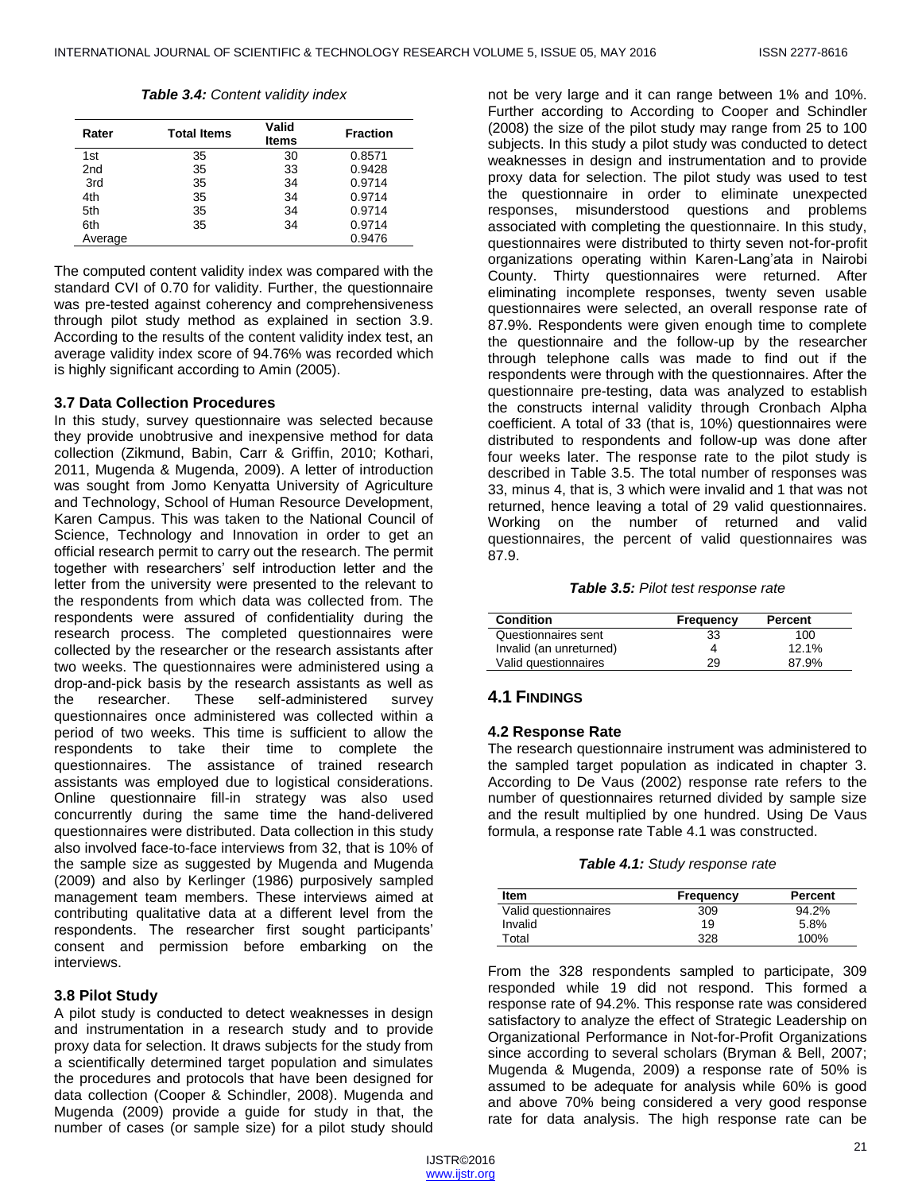*Table 3.4: Content validity index*

| Rater           | <b>Total Items</b> | Valid<br><b>Items</b> | <b>Fraction</b> |
|-----------------|--------------------|-----------------------|-----------------|
| 1st             | 35                 | 30                    | 0.8571          |
| 2 <sub>nd</sub> | 35                 | 33                    | 0.9428          |
| 3rd             | 35                 | 34                    | 0.9714          |
| 4th             | 35                 | 34                    | 0.9714          |
| 5th             | 35                 | 34                    | 0.9714          |
| 6th             | 35                 | 34                    | 0.9714          |
| Average         |                    |                       | 0.9476          |

The computed content validity index was compared with the standard CVI of 0.70 for validity. Further, the questionnaire was pre-tested against coherency and comprehensiveness through pilot study method as explained in section 3.9. According to the results of the content validity index test, an average validity index score of 94.76% was recorded which is highly significant according to Amin (2005).

## **3.7 Data Collection Procedures**

In this study, survey questionnaire was selected because they provide unobtrusive and inexpensive method for data collection (Zikmund, Babin, Carr & Griffin, 2010; Kothari, 2011, Mugenda & Mugenda, 2009). A letter of introduction was sought from Jomo Kenyatta University of Agriculture and Technology, School of Human Resource Development, Karen Campus. This was taken to the National Council of Science, Technology and Innovation in order to get an official research permit to carry out the research. The permit together with researchers' self introduction letter and the letter from the university were presented to the relevant to the respondents from which data was collected from. The respondents were assured of confidentiality during the research process. The completed questionnaires were collected by the researcher or the research assistants after two weeks. The questionnaires were administered using a drop-and-pick basis by the research assistants as well as the researcher. These self-administered survey questionnaires once administered was collected within a period of two weeks. This time is sufficient to allow the respondents to take their time to complete the questionnaires. The assistance of trained research assistants was employed due to logistical considerations. Online questionnaire fill-in strategy was also used concurrently during the same time the hand-delivered questionnaires were distributed. Data collection in this study also involved face-to-face interviews from 32, that is 10% of the sample size as suggested by Mugenda and Mugenda (2009) and also by Kerlinger (1986) purposively sampled management team members. These interviews aimed at contributing qualitative data at a different level from the respondents. The researcher first sought participants' consent and permission before embarking on the interviews.

# **3.8 Pilot Study**

A pilot study is conducted to detect weaknesses in design and instrumentation in a research study and to provide proxy data for selection. It draws subjects for the study from a scientifically determined target population and simulates the procedures and protocols that have been designed for data collection (Cooper & Schindler, 2008). Mugenda and Mugenda (2009) provide a guide for study in that, the number of cases (or sample size) for a pilot study should

not be very large and it can range between 1% and 10%. Further according to According to Cooper and Schindler (2008) the size of the pilot study may range from 25 to 100 subjects. In this study a pilot study was conducted to detect weaknesses in design and instrumentation and to provide proxy data for selection. The pilot study was used to test the questionnaire in order to eliminate unexpected responses, misunderstood questions and problems associated with completing the questionnaire. In this study, questionnaires were distributed to thirty seven not-for-profit organizations operating within Karen-Lang'ata in Nairobi County. Thirty questionnaires were returned. After eliminating incomplete responses, twenty seven usable questionnaires were selected, an overall response rate of 87.9%. Respondents were given enough time to complete the questionnaire and the follow-up by the researcher through telephone calls was made to find out if the respondents were through with the questionnaires. After the questionnaire pre-testing, data was analyzed to establish the constructs internal validity through Cronbach Alpha coefficient. A total of 33 (that is, 10%) questionnaires were distributed to respondents and follow-up was done after four weeks later. The response rate to the pilot study is described in Table 3.5. The total number of responses was 33, minus 4, that is, 3 which were invalid and 1 that was not returned, hence leaving a total of 29 valid questionnaires. Working on the number of returned and valid questionnaires, the percent of valid questionnaires was 87.9.

#### *Table 3.5: Pilot test response rate*

| Condition               | Frequency | Percent |
|-------------------------|-----------|---------|
| Questionnaires sent     | 33        | 100     |
| Invalid (an unreturned) | 4         | 12.1%   |
| Valid questionnaires    | 29        | 87.9%   |

# **4.1 FINDINGS**

## **4.2 Response Rate**

The research questionnaire instrument was administered to the sampled target population as indicated in chapter 3. According to De Vaus (2002) response rate refers to the number of questionnaires returned divided by sample size and the result multiplied by one hundred. Using De Vaus formula, a response rate Table 4.1 was constructed.

|  |  |  | Table 4.1: Study response rate |  |
|--|--|--|--------------------------------|--|
|--|--|--|--------------------------------|--|

| ltem                 | Frequency | Percent |  |
|----------------------|-----------|---------|--|
| Valid questionnaires | 309       | 94.2%   |  |
| Invalid              | 19        | 5.8%    |  |
| Total                | 328       | 100%    |  |

From the 328 respondents sampled to participate, 309 responded while 19 did not respond. This formed a response rate of 94.2%. This response rate was considered satisfactory to analyze the effect of Strategic Leadership on Organizational Performance in Not-for-Profit Organizations since according to several scholars (Bryman & Bell, 2007; Mugenda & Mugenda, 2009) a response rate of 50% is assumed to be adequate for analysis while 60% is good and above 70% being considered a very good response rate for data analysis. The high response rate can be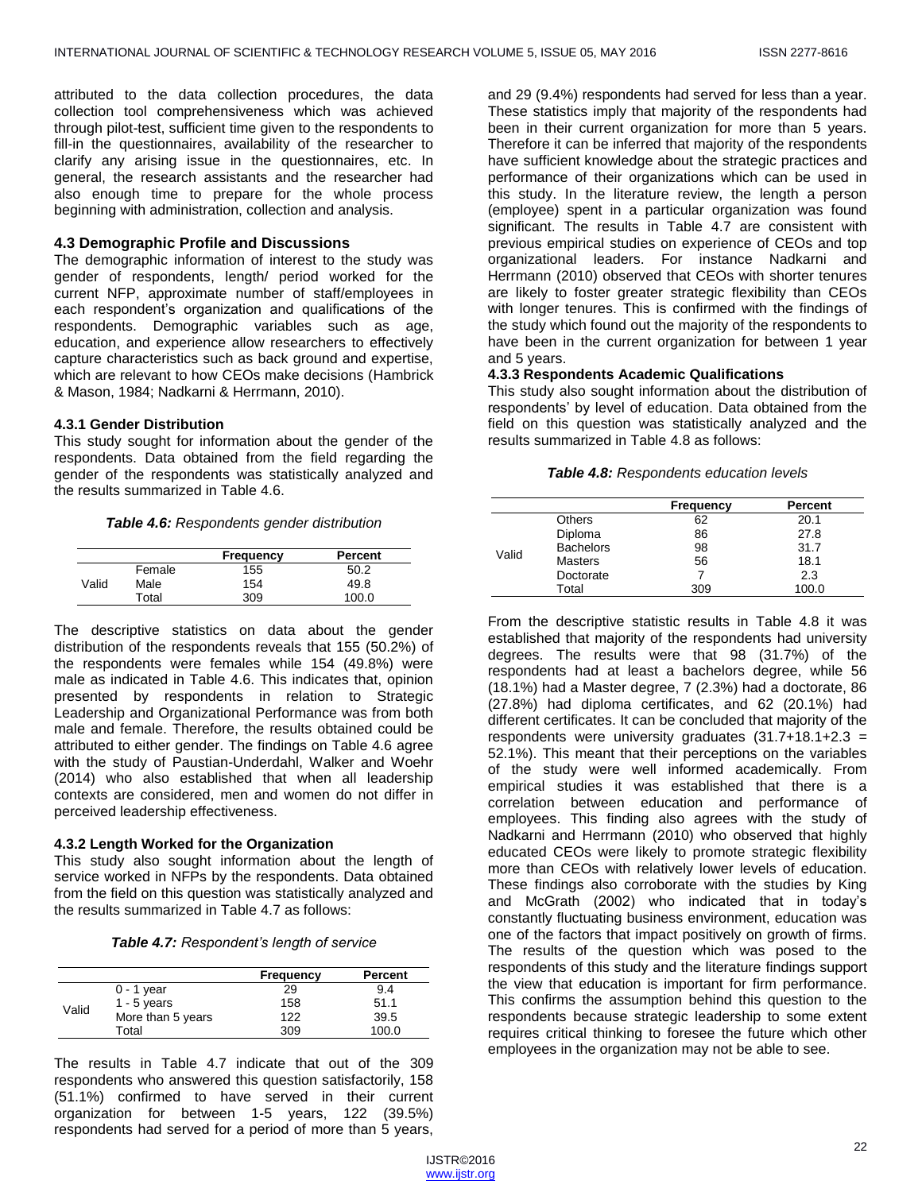attributed to the data collection procedures, the data collection tool comprehensiveness which was achieved through pilot-test, sufficient time given to the respondents to fill-in the questionnaires, availability of the researcher to clarify any arising issue in the questionnaires, etc. In general, the research assistants and the researcher had also enough time to prepare for the whole process beginning with administration, collection and analysis.

# **4.3 Demographic Profile and Discussions**

The demographic information of interest to the study was gender of respondents, length/ period worked for the current NFP, approximate number of staff/employees in each respondent's organization and qualifications of the respondents. Demographic variables such as age, education, and experience allow researchers to effectively capture characteristics such as back ground and expertise, which are relevant to how CEOs make decisions (Hambrick & Mason, 1984; Nadkarni & Herrmann, 2010).

# **4.3.1 Gender Distribution**

This study sought for information about the gender of the respondents. Data obtained from the field regarding the gender of the respondents was statistically analyzed and the results summarized in Table 4.6.

*Table 4.6: Respondents gender distribution*

|       |        | Frequency | Percent |
|-------|--------|-----------|---------|
|       | Female | 155       | 50.2    |
| Valid | Male   | 154       | 49.8    |
|       | Total  | 309       | 100.0   |

The descriptive statistics on data about the gender distribution of the respondents reveals that 155 (50.2%) of the respondents were females while 154 (49.8%) were male as indicated in Table 4.6. This indicates that, opinion presented by respondents in relation to Strategic Leadership and Organizational Performance was from both male and female. Therefore, the results obtained could be attributed to either gender. The findings on Table 4.6 agree with the study of Paustian-Underdahl, Walker and Woehr (2014) who also established that when all leadership contexts are considered, men and women do not differ in perceived leadership effectiveness.

# **4.3.2 Length Worked for the Organization**

This study also sought information about the length of service worked in NFPs by the respondents. Data obtained from the field on this question was statistically analyzed and the results summarized in Table 4.7 as follows:

|       |                   | Frequency | Percent |
|-------|-------------------|-----------|---------|
| Valid | $0 - 1$ year      | 29        | 9.4     |
|       | $1 - 5$ years     | 158       | 51.1    |
|       | More than 5 years | 122       | 39.5    |
|       | Total             | 309       | 100.0   |

The results in Table 4.7 indicate that out of the 309 respondents who answered this question satisfactorily, 158 (51.1%) confirmed to have served in their current organization for between 1-5 years, 122 (39.5%) respondents had served for a period of more than 5 years, and 29 (9.4%) respondents had served for less than a year. These statistics imply that majority of the respondents had been in their current organization for more than 5 years. Therefore it can be inferred that majority of the respondents have sufficient knowledge about the strategic practices and performance of their organizations which can be used in this study. In the literature review, the length a person (employee) spent in a particular organization was found significant. The results in Table 4.7 are consistent with previous empirical studies on experience of CEOs and top organizational leaders. For instance Nadkarni and Herrmann (2010) observed that CEOs with shorter tenures are likely to foster greater strategic flexibility than CEOs with longer tenures. This is confirmed with the findings of the study which found out the majority of the respondents to have been in the current organization for between 1 year and 5 years.

# **4.3.3 Respondents Academic Qualifications**

This study also sought information about the distribution of respondents' by level of education. Data obtained from the field on this question was statistically analyzed and the results summarized in Table 4.8 as follows:

|  | Table 4.8: Respondents education levels |  |  |
|--|-----------------------------------------|--|--|
|--|-----------------------------------------|--|--|

|       |                  | <b>Frequency</b> | <b>Percent</b> |
|-------|------------------|------------------|----------------|
|       | <b>Others</b>    | 62               | 20.1           |
|       | Diploma          | 86               | 27.8           |
|       | <b>Bachelors</b> | 98               | 31.7           |
| Valid | Masters          | 56               | 18.1           |
|       | Doctorate        |                  | 2.3            |
|       | Total            | 309              | 100.0          |

From the descriptive statistic results in Table 4.8 it was established that majority of the respondents had university degrees. The results were that 98 (31.7%) of the respondents had at least a bachelors degree, while 56 (18.1%) had a Master degree, 7 (2.3%) had a doctorate, 86 (27.8%) had diploma certificates, and 62 (20.1%) had different certificates. It can be concluded that majority of the respondents were university graduates  $(31.7+18.1+2.3 =$ 52.1%). This meant that their perceptions on the variables of the study were well informed academically. From empirical studies it was established that there is a correlation between education and performance of employees. This finding also agrees with the study of Nadkarni and Herrmann (2010) who observed that highly educated CEOs were likely to promote strategic flexibility more than CEOs with relatively lower levels of education. These findings also corroborate with the studies by King and McGrath (2002) who indicated that in today's constantly fluctuating business environment, education was one of the factors that impact positively on growth of firms. The results of the question which was posed to the respondents of this study and the literature findings support the view that education is important for firm performance. This confirms the assumption behind this question to the respondents because strategic leadership to some extent requires critical thinking to foresee the future which other employees in the organization may not be able to see.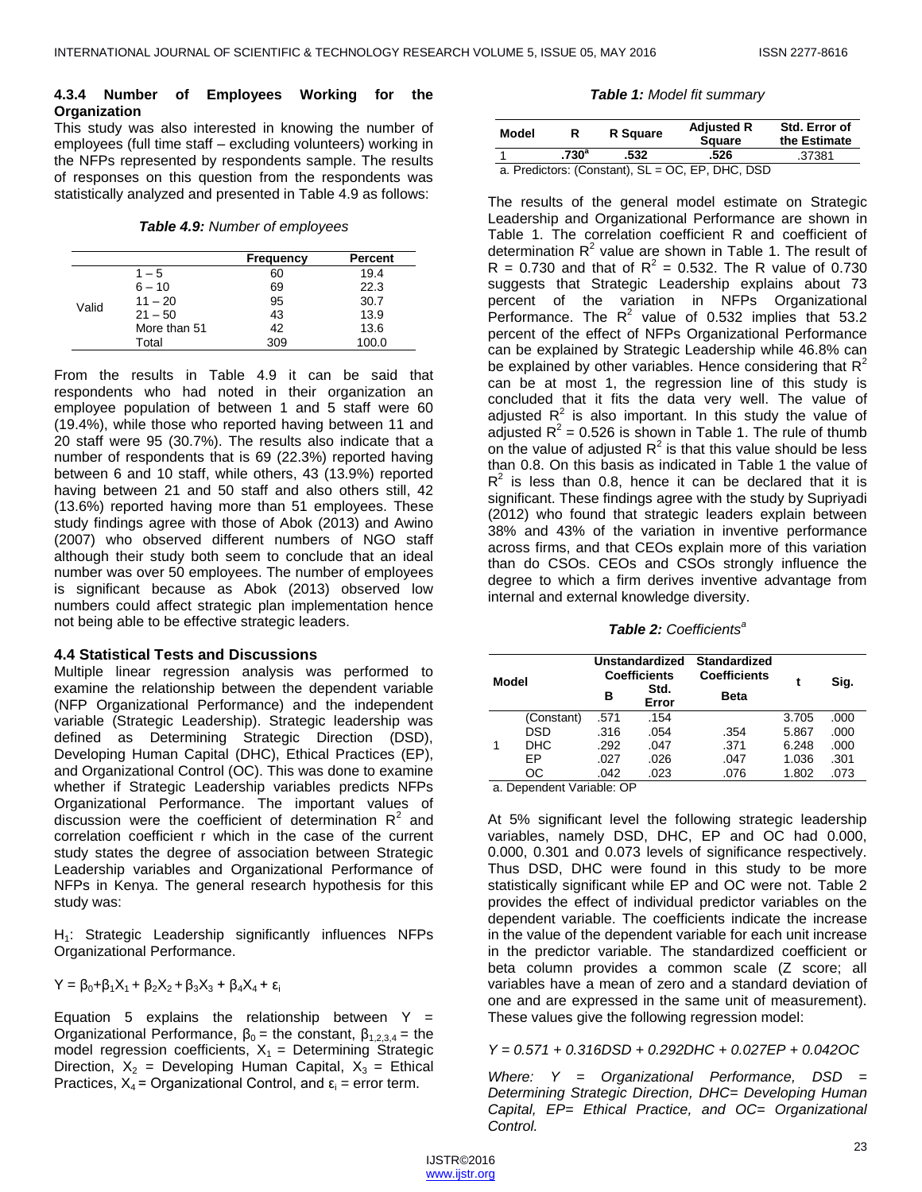## **4.3.4 Number of Employees Working for the Organization**

This study was also interested in knowing the number of employees (full time staff – excluding volunteers) working in the NFPs represented by respondents sample. The results of responses on this question from the respondents was statistically analyzed and presented in Table 4.9 as follows:

*Table 4.9: Number of employees*

|       |              | <b>Frequency</b> | Percent |
|-------|--------------|------------------|---------|
|       | $1 - 5$      | 60               | 19.4    |
|       | $6 - 10$     | 69               | 22.3    |
| Valid | $11 - 20$    | 95               | 30.7    |
|       | $21 - 50$    | 43               | 13.9    |
|       | More than 51 | 42               | 13.6    |
|       | Total        | 309              | 100.0   |

From the results in Table 4.9 it can be said that respondents who had noted in their organization an employee population of between 1 and 5 staff were 60 (19.4%), while those who reported having between 11 and 20 staff were 95 (30.7%). The results also indicate that a number of respondents that is 69 (22.3%) reported having between 6 and 10 staff, while others, 43 (13.9%) reported having between 21 and 50 staff and also others still, 42 (13.6%) reported having more than 51 employees. These study findings agree with those of Abok (2013) and Awino (2007) who observed different numbers of NGO staff although their study both seem to conclude that an ideal number was over 50 employees. The number of employees is significant because as Abok (2013) observed low numbers could affect strategic plan implementation hence not being able to be effective strategic leaders.

## **4.4 Statistical Tests and Discussions**

Multiple linear regression analysis was performed to examine the relationship between the dependent variable (NFP Organizational Performance) and the independent variable (Strategic Leadership). Strategic leadership was defined as Determining Strategic Direction (DSD), Developing Human Capital (DHC), Ethical Practices (EP), and Organizational Control (OC). This was done to examine whether if Strategic Leadership variables predicts NFPs Organizational Performance. The important values of discussion were the coefficient of determination  $R^2$  and correlation coefficient r which in the case of the current study states the degree of association between Strategic Leadership variables and Organizational Performance of NFPs in Kenya. The general research hypothesis for this study was:

H<sub>1</sub>: Strategic Leadership significantly influences NFPs Organizational Performance.

$$
Y = \beta_0 + \beta_1 X_1 + \beta_2 X_2 + \beta_3 X_3 + \beta_4 X_4 + \epsilon_i
$$

Equation 5 explains the relationship between  $Y =$ Organizational Performance,  $β_0$  = the constant,  $β_{1,2,3,4}$  = the model regression coefficients,  $X_1$  = Determining Strategic Direction,  $X_2$  = Developing Human Capital,  $X_3$  = Ethical Practices,  $X_4$  = Organizational Control, and  $\varepsilon_i$  = error term.

*Table 1: Model fit summary*

| Model                                            |                   | R Square | <b>Adjusted R</b><br><b>Square</b> | Std. Error of<br>the Estimate |
|--------------------------------------------------|-------------------|----------|------------------------------------|-------------------------------|
|                                                  | .730 <sup>a</sup> | .532     | .526                               | .37381                        |
| a. Predictors: (Constant), SL = OC, EP, DHC, DSD |                   |          |                                    |                               |

The results of the general model estimate on Strategic Leadership and Organizational Performance are shown in Table 1. The correlation coefficient R and coefficient of determination  $R^2$  value are shown in Table 1. The result of  $R = 0.730$  and that of  $R^2 = 0.532$ . The R value of 0.730 suggests that Strategic Leadership explains about 73 percent of the variation in NFPs Organizational Performance. The  $R^2$  value of 0.532 implies that 53.2 percent of the effect of NFPs Organizational Performance can be explained by Strategic Leadership while 46.8% can be explained by other variables. Hence considering that  $R^2$ can be at most 1, the regression line of this study is concluded that it fits the data very well. The value of adjusted  $R^2$  is also important. In this study the value of adjusted  $R^2$  = 0.526 is shown in Table 1. The rule of thumb on the value of adjusted  $R^2$  is that this value should be less than 0.8. On this basis as indicated in Table 1 the value of  $R^2$  is less than 0.8, hence it can be declared that it is significant. These findings agree with the study by Supriyadi (2012) who found that strategic leaders explain between 38% and 43% of the variation in inventive performance across firms, and that CEOs explain more of this variation than do CSOs. CEOs and CSOs strongly influence the degree to which a firm derives inventive advantage from internal and external knowledge diversity.

*Table 2: Coefficients<sup>a</sup>*

| Model |            | Unstandardized<br><b>Coefficients</b><br>Std.<br>в<br>Error |      | <b>Standardized</b><br><b>Coefficients</b><br><b>Beta</b> |       | Sig. |
|-------|------------|-------------------------------------------------------------|------|-----------------------------------------------------------|-------|------|
|       | (Constant) | .571                                                        | .154 |                                                           | 3.705 | .000 |
|       | DSD        | .316                                                        | .054 | .354                                                      | 5.867 | .000 |
| 1     | <b>DHC</b> | .292                                                        | .047 | .371                                                      | 6.248 | .000 |
|       | EP         | .027                                                        | .026 | .047                                                      | 1.036 | .301 |
|       | OС         | .042                                                        | .023 | .076                                                      | 1.802 | .073 |

a. Dependent Variable: OP

At 5% significant level the following strategic leadership variables, namely DSD, DHC, EP and OC had 0.000, 0.000, 0.301 and 0.073 levels of significance respectively. Thus DSD, DHC were found in this study to be more statistically significant while EP and OC were not. Table 2 provides the effect of individual predictor variables on the dependent variable. The coefficients indicate the increase in the value of the dependent variable for each unit increase in the predictor variable. The standardized coefficient or beta column provides a common scale (Z score; all variables have a mean of zero and a standard deviation of one and are expressed in the same unit of measurement). These values give the following regression model:

# *Y = 0.571 + 0.316DSD + 0.292DHC + 0.027EP + 0.042OC*

*Where: Y = Organizational Performance, DSD = Determining Strategic Direction, DHC= Developing Human Capital, EP= Ethical Practice, and OC= Organizational Control.*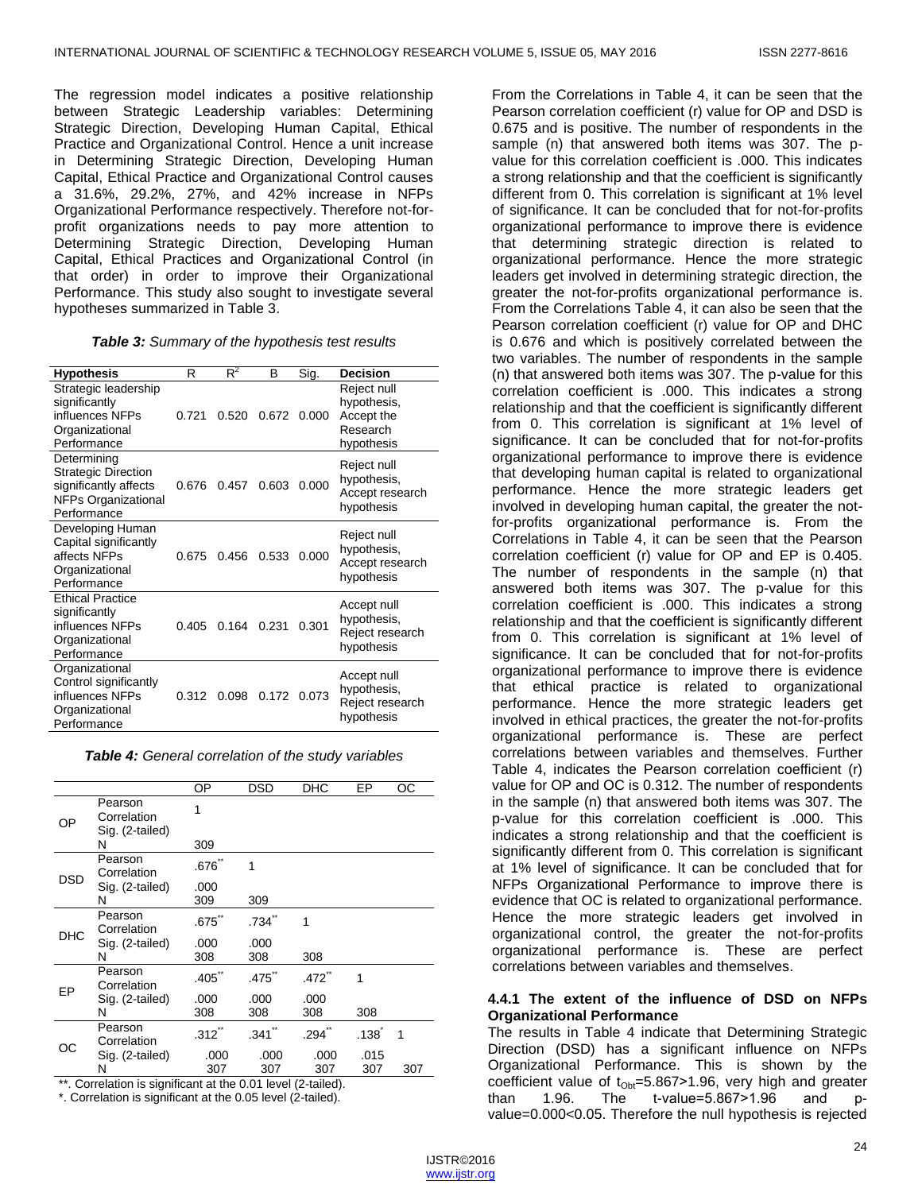The regression model indicates a positive relationship between Strategic Leadership variables: Determining Strategic Direction, Developing Human Capital, Ethical Practice and Organizational Control. Hence a unit increase in Determining Strategic Direction, Developing Human Capital, Ethical Practice and Organizational Control causes a 31.6%, 29.2%, 27%, and 42% increase in NFPs Organizational Performance respectively. Therefore not-forprofit organizations needs to pay more attention to Determining Strategic Direction, Developing Human Capital, Ethical Practices and Organizational Control (in that order) in order to improve their Organizational Performance. This study also sought to investigate several hypotheses summarized in Table 3.

| <b>Hypothesis</b>                                                                                               | R     | $R^2$ | В     | Sig.  | <b>Decision</b>                                                    |
|-----------------------------------------------------------------------------------------------------------------|-------|-------|-------|-------|--------------------------------------------------------------------|
| Strategic leadership<br>significantly<br>influences NFPs<br>Organizational<br>Performance                       | 0.721 | 0.520 | 0.672 | 0.000 | Reject null<br>hypothesis,<br>Accept the<br>Research<br>hypothesis |
| Determining<br><b>Strategic Direction</b><br>significantly affects<br><b>NFPs Organizational</b><br>Performance | 0.676 | 0.457 | 0.603 | 0.000 | Reject null<br>hypothesis,<br>Accept research<br>hypothesis        |
| Developing Human<br>Capital significantly<br>affects NFPs<br>Organizational<br>Performance                      | 0.675 | 0.456 | 0.533 | 0.000 | Reject null<br>hypothesis,<br>Accept research<br>hypothesis        |
| <b>Ethical Practice</b><br>significantly<br>influences NFPs<br>Organizational<br>Performance                    | 0.405 | 0.164 | 0.231 | 0.301 | Accept null<br>hypothesis,<br>Reject research<br>hypothesis        |
| Organizational<br>Control significantly<br>influences NFPs<br>Organizational<br>Performance                     | 0.312 | 0.098 | 0.172 | 0.073 | Accept null<br>hypothesis,<br>Reject research<br>hypothesis        |

*Table 4: General correlation of the study variables*

|            |                                           | ОP          | DSD         | <b>DHC</b>  | EP                | ОC  |
|------------|-------------------------------------------|-------------|-------------|-------------|-------------------|-----|
| ОP         | Pearson<br>Correlation<br>Sig. (2-tailed) | 1           |             |             |                   |     |
|            | N                                         | 309         |             |             |                   |     |
|            | Pearson<br>Correlation                    | $.676$ *    | 1           |             |                   |     |
| DSD        | Sig. (2-tailed)<br>N                      | .000<br>309 | 309         |             |                   |     |
|            | Pearson<br>Correlation                    | .675        | $.734$ **   | 1           |                   |     |
| <b>DHC</b> | Sig. (2-tailed)                           | .000        | .000        |             |                   |     |
|            | N                                         | 308         | 308         | 308         |                   |     |
| EP         | Pearson<br>Correlation                    | $.405$ *    | $.475$ **   | $.472$ *    | 1                 |     |
|            | Sig. (2-tailed)<br>N                      | .000<br>308 | .000<br>308 | .000<br>308 | 308               |     |
| ОC         | Pearson<br>Correlation                    | $.312$ **   | .341        | $.294$ "    | .138 <sup>1</sup> | 1   |
|            | Sig. (2-tailed)                           | .000        | .000        | .000        | .015              |     |
|            | N                                         | 307         | 307         | 307         | 307               | 307 |

\*\*. Correlation is significant at the 0.01 level (2-tailed).

\*. Correlation is significant at the 0.05 level (2-tailed).

From the Correlations in Table 4, it can be seen that the Pearson correlation coefficient (r) value for OP and DSD is 0.675 and is positive. The number of respondents in the sample (n) that answered both items was 307. The pvalue for this correlation coefficient is .000. This indicates a strong relationship and that the coefficient is significantly different from 0. This correlation is significant at 1% level of significance. It can be concluded that for not-for-profits organizational performance to improve there is evidence that determining strategic direction is related to organizational performance. Hence the more strategic leaders get involved in determining strategic direction, the greater the not-for-profits organizational performance is. From the Correlations Table 4, it can also be seen that the Pearson correlation coefficient (r) value for OP and DHC is 0.676 and which is positively correlated between the two variables. The number of respondents in the sample (n) that answered both items was 307. The p-value for this correlation coefficient is .000. This indicates a strong relationship and that the coefficient is significantly different from 0. This correlation is significant at 1% level of significance. It can be concluded that for not-for-profits organizational performance to improve there is evidence that developing human capital is related to organizational performance. Hence the more strategic leaders get involved in developing human capital, the greater the notfor-profits organizational performance is. From the Correlations in Table 4, it can be seen that the Pearson correlation coefficient (r) value for OP and EP is 0.405. The number of respondents in the sample (n) that answered both items was 307. The p-value for this correlation coefficient is .000. This indicates a strong relationship and that the coefficient is significantly different from 0. This correlation is significant at 1% level of significance. It can be concluded that for not-for-profits organizational performance to improve there is evidence that ethical practice is related to organizational performance. Hence the more strategic leaders get involved in ethical practices, the greater the not-for-profits organizational performance is. These are perfect correlations between variables and themselves. Further Table 4, indicates the Pearson correlation coefficient (r) value for OP and OC is 0.312. The number of respondents in the sample (n) that answered both items was 307. The p-value for this correlation coefficient is .000. This indicates a strong relationship and that the coefficient is significantly different from 0. This correlation is significant at 1% level of significance. It can be concluded that for NFPs Organizational Performance to improve there is evidence that OC is related to organizational performance. Hence the more strategic leaders get involved in organizational control, the greater the not-for-profits organizational performance is. These are perfect correlations between variables and themselves.

# **4.4.1 The extent of the influence of DSD on NFPs Organizational Performance**

The results in Table 4 indicate that Determining Strategic Direction (DSD) has a significant influence on NFPs Organizational Performance. This is shown by the coefficient value of  $t_{\text{Obt}}=5.867>1.96$ , very high and greater than  $1.96$ . The  $t$ -value=5.867>1.96 and pthan 1.96. The t-value=5.867>1.96 and pvalue=0.000<0.05. Therefore the null hypothesis is rejected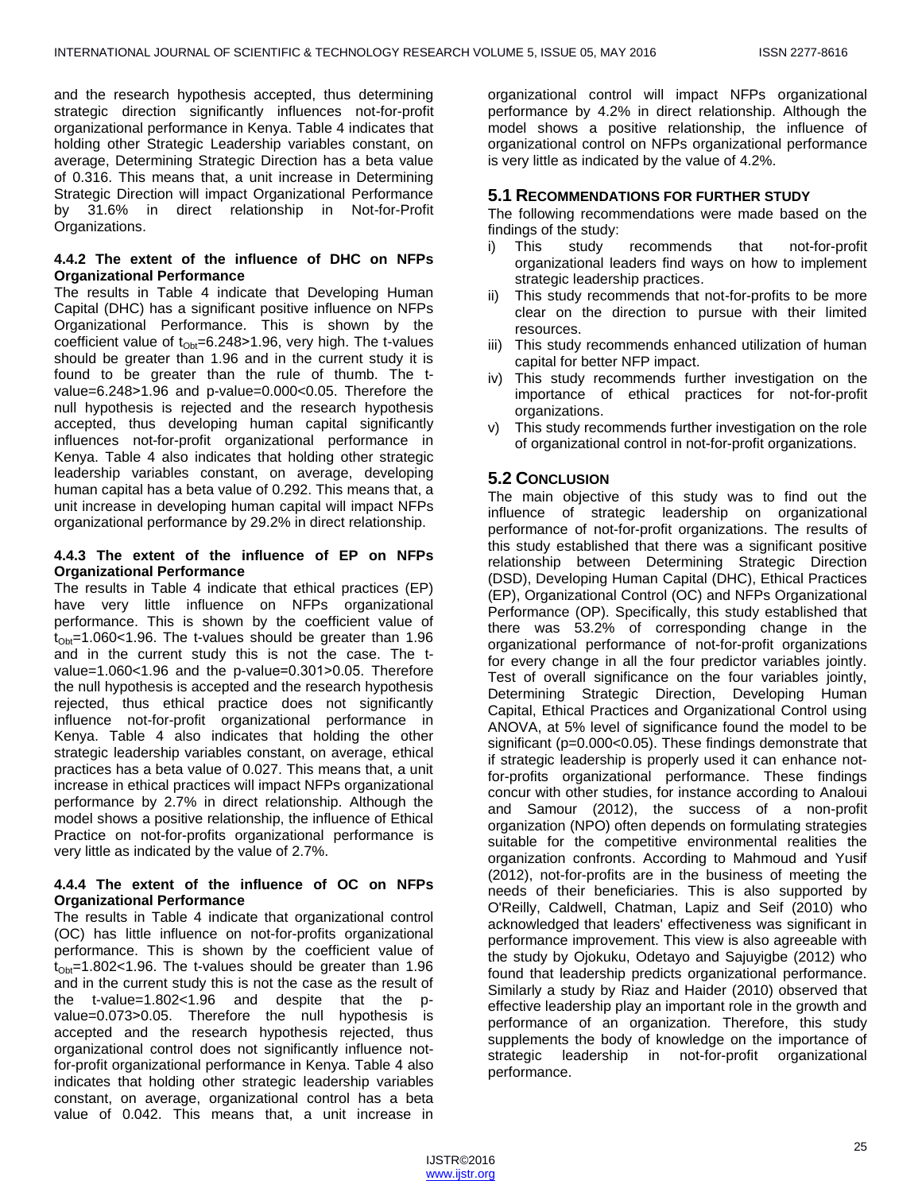and the research hypothesis accepted, thus determining strategic direction significantly influences not-for-profit organizational performance in Kenya. Table 4 indicates that holding other Strategic Leadership variables constant, on average, Determining Strategic Direction has a beta value of 0.316. This means that, a unit increase in Determining Strategic Direction will impact Organizational Performance by 31.6% in direct relationship in Not-for-Profit Organizations.

# **4.4.2 The extent of the influence of DHC on NFPs Organizational Performance**

The results in Table 4 indicate that Developing Human Capital (DHC) has a significant positive influence on NFPs Organizational Performance. This is shown by the coefficient value of  $t_{\text{Ob}}=6.248>1.96$ , very high. The t-values should be greater than 1.96 and in the current study it is found to be greater than the rule of thumb. The tvalue=6.248>1.96 and p-value=0.000<0.05. Therefore the null hypothesis is rejected and the research hypothesis accepted, thus developing human capital significantly influences not-for-profit organizational performance in Kenya. Table 4 also indicates that holding other strategic leadership variables constant, on average, developing human capital has a beta value of 0.292. This means that, a unit increase in developing human capital will impact NFPs organizational performance by 29.2% in direct relationship.

## **4.4.3 The extent of the influence of EP on NFPs Organizational Performance**

The results in Table 4 indicate that ethical practices (EP) have very little influence on NFPs organizational performance. This is shown by the coefficient value of  $t_{\text{Ob}}$ =1.060<1.96. The t-values should be greater than 1.96 and in the current study this is not the case. The tvalue=1.060<1.96 and the p-value=0.301>0.05. Therefore the null hypothesis is accepted and the research hypothesis rejected, thus ethical practice does not significantly influence not-for-profit organizational performance in Kenya. Table 4 also indicates that holding the other strategic leadership variables constant, on average, ethical practices has a beta value of 0.027. This means that, a unit increase in ethical practices will impact NFPs organizational performance by 2.7% in direct relationship. Although the model shows a positive relationship, the influence of Ethical Practice on not-for-profits organizational performance is very little as indicated by the value of 2.7%.

# **4.4.4 The extent of the influence of OC on NFPs Organizational Performance**

The results in Table 4 indicate that organizational control (OC) has little influence on not-for-profits organizational performance. This is shown by the coefficient value of  $t_{\text{Obf}}$ =1.802<1.96. The t-values should be greater than 1.96 and in the current study this is not the case as the result of the t-value=1.802<1.96 and despite that the pvalue=0.073>0.05. Therefore the null hypothesis is accepted and the research hypothesis rejected, thus organizational control does not significantly influence notfor-profit organizational performance in Kenya. Table 4 also indicates that holding other strategic leadership variables constant, on average, organizational control has a beta value of 0.042. This means that, a unit increase in

organizational control will impact NFPs organizational performance by 4.2% in direct relationship. Although the model shows a positive relationship, the influence of organizational control on NFPs organizational performance is very little as indicated by the value of 4.2%.

# **5.1 RECOMMENDATIONS FOR FURTHER STUDY**

The following recommendations were made based on the findings of the study:

- i) This study recommends that not-for-profit organizational leaders find ways on how to implement strategic leadership practices.
- ii) This study recommends that not-for-profits to be more clear on the direction to pursue with their limited resources.
- iii) This study recommends enhanced utilization of human capital for better NFP impact.
- iv) This study recommends further investigation on the importance of ethical practices for not-for-profit organizations.
- v) This study recommends further investigation on the role of organizational control in not-for-profit organizations.

# **5.2 CONCLUSION**

The main objective of this study was to find out the influence of strategic leadership on organizational performance of not-for-profit organizations. The results of this study established that there was a significant positive relationship between Determining Strategic Direction (DSD), Developing Human Capital (DHC), Ethical Practices (EP), Organizational Control (OC) and NFPs Organizational Performance (OP). Specifically, this study established that there was 53.2% of corresponding change in the organizational performance of not-for-profit organizations for every change in all the four predictor variables jointly. Test of overall significance on the four variables jointly, Determining Strategic Direction, Developing Human Capital, Ethical Practices and Organizational Control using ANOVA, at 5% level of significance found the model to be significant (p=0.000<0.05). These findings demonstrate that if strategic leadership is properly used it can enhance notfor-profits organizational performance. These findings concur with other studies, for instance according to Analoui and Samour (2012), the success of a non-profit organization (NPO) often depends on formulating strategies suitable for the competitive environmental realities the organization confronts. According to Mahmoud and Yusif (2012), not-for-profits are in the business of meeting the needs of their beneficiaries. This is also supported by O'Reilly, Caldwell, Chatman, Lapiz and Seif (2010) who acknowledged that leaders' effectiveness was significant in performance improvement. This view is also agreeable with the study by Ojokuku, Odetayo and Sajuyigbe (2012) who found that leadership predicts organizational performance. Similarly a study by Riaz and Haider (2010) observed that effective leadership play an important role in the growth and performance of an organization. Therefore, this study supplements the body of knowledge on the importance of strategic leadership in not-for-profit organizational performance.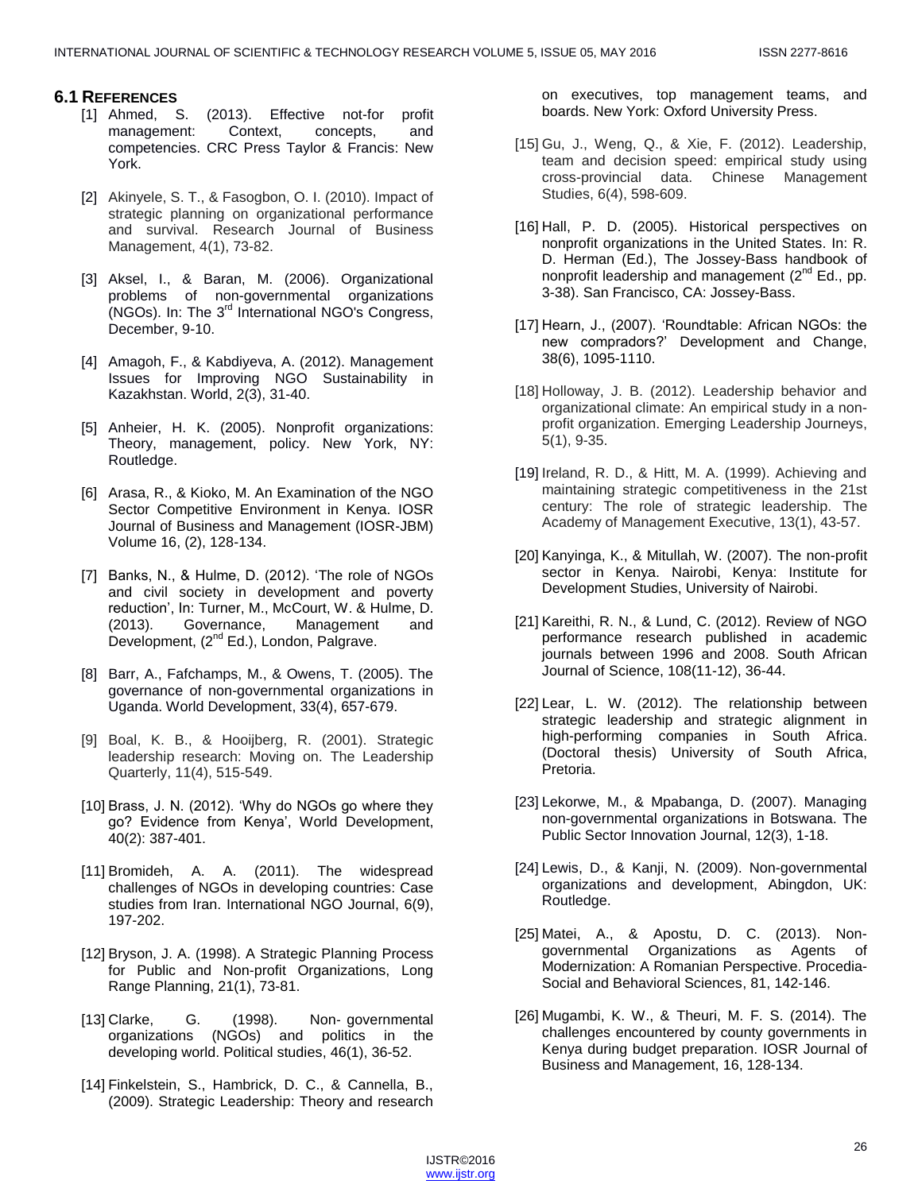# **6.1 REFERENCES**

- [1] Ahmed, S. (2013). Effective not-for profit management: Context, concepts, and competencies. CRC Press Taylor & Francis: New York.
- [2] Akinyele, S. T., & Fasogbon, O. I. (2010). Impact of strategic planning on organizational performance and survival. Research Journal of Business Management, 4(1), 73-82.
- [3] Aksel, I., & Baran, M. (2006). Organizational problems of non-governmental organizations (NGOs). In: The 3<sup>rd</sup> International NGO's Congress, December, 9-10.
- [4] Amagoh, F., & Kabdiyeva, A. (2012). Management Issues for Improving NGO Sustainability in Kazakhstan. World, 2(3), 31-40.
- [5] Anheier, H. K. (2005). Nonprofit organizations: Theory, management, policy. New York, NY: Routledge.
- [6] Arasa, R., & Kioko, M. An Examination of the NGO Sector Competitive Environment in Kenya. IOSR Journal of Business and Management (IOSR-JBM) Volume 16, (2), 128-134.
- [7] Banks, N., & Hulme, D. (2012). 'The role of NGOs and civil society in development and poverty reduction', In: Turner, M., McCourt, W. & Hulme, D. (2013). Governance, Management and Development, (2<sup>nd</sup> Ed.), London, Palgrave.
- [8] Barr, A., Fafchamps, M., & Owens, T. (2005). The governance of non-governmental organizations in Uganda. World Development, 33(4), 657-679.
- [9] Boal, K. B., & Hooijberg, R. (2001). Strategic leadership research: Moving on. The Leadership Quarterly, 11(4), 515-549.
- [10] Brass, J. N. (2012). 'Why do NGOs go where they go? Evidence from Kenya', World Development, 40(2): 387-401.
- [11] Bromideh, A. A. (2011). The widespread challenges of NGOs in developing countries: Case studies from Iran. International NGO Journal, 6(9), 197-202.
- [12] Bryson, J. A. (1998). A Strategic Planning Process for Public and Non-profit Organizations, Long Range Planning, 21(1), 73-81.
- [13] Clarke, G. (1998). Non-governmental organizations (NGOs) and politics in the developing world. Political studies, 46(1), 36-52.
- [14] Finkelstein, S., Hambrick, D. C., & Cannella, B., (2009). Strategic Leadership: Theory and research

on executives, top management teams, and boards. New York: Oxford University Press.

- [15] Gu, J., Weng, Q., & Xie, F. (2012). Leadership, team and decision speed: empirical study using cross-provincial data. Chinese Management Studies, 6(4), 598-609.
- [16] Hall, P. D. (2005). Historical perspectives on nonprofit organizations in the United States. In: R. D. Herman (Ed.), The Jossey-Bass handbook of nonprofit leadership and management  $(2^{nd} Ed.$ , pp. 3-38). San Francisco, CA: Jossey-Bass.
- [17] Hearn, J., (2007). 'Roundtable: African NGOs: the new compradors?' Development and Change, 38(6), 1095-1110.
- [18] Holloway, J. B. (2012). Leadership behavior and organizational climate: An empirical study in a nonprofit organization. Emerging Leadership Journeys, 5(1), 9-35.
- [19] Ireland, R. D., & Hitt, M. A. (1999). Achieving and maintaining strategic competitiveness in the 21st century: The role of strategic leadership. The Academy of Management Executive, 13(1), 43-57.
- [20] Kanyinga, K., & Mitullah, W. (2007). The non-profit sector in Kenya. Nairobi, Kenya: Institute for Development Studies, University of Nairobi.
- [21] Kareithi, R. N., & Lund, C. (2012). Review of NGO performance research published in academic journals between 1996 and 2008. South African Journal of Science, 108(11-12), 36-44.
- [22] Lear, L. W. (2012). The relationship between strategic leadership and strategic alignment in high-performing companies in South Africa. (Doctoral thesis) University of South Africa, Pretoria.
- [23] Lekorwe, M., & Mpabanga, D. (2007). Managing non-governmental organizations in Botswana. The Public Sector Innovation Journal, 12(3), 1-18.
- [24] Lewis, D., & Kanji, N. (2009). Non-governmental organizations and development, Abingdon, UK: Routledge.
- [25] Matei, A., & Apostu, D. C. (2013). Nongovernmental Organizations as Agents of Modernization: A Romanian Perspective. Procedia-Social and Behavioral Sciences, 81, 142-146.
- [26] Mugambi, K. W., & Theuri, M. F. S. (2014). The challenges encountered by county governments in Kenya during budget preparation. IOSR Journal of Business and Management, 16, 128-134.